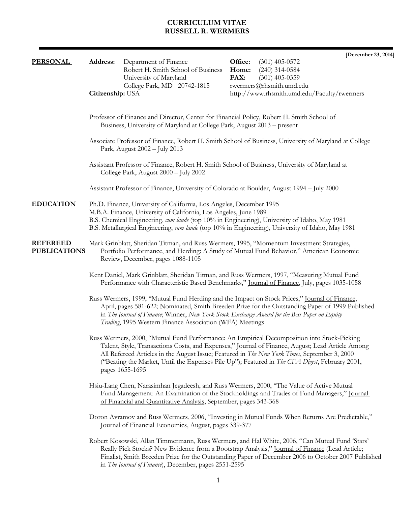# **CURRICULUM VITAE RUSSELL R. WERMERS**

|                                        |                                                                                                                                                                                                                                                             |                                                                     | [December 23, 2014]                                                                                                                                                                                                                                                                                                                                                                                       |  |  |
|----------------------------------------|-------------------------------------------------------------------------------------------------------------------------------------------------------------------------------------------------------------------------------------------------------------|---------------------------------------------------------------------|-----------------------------------------------------------------------------------------------------------------------------------------------------------------------------------------------------------------------------------------------------------------------------------------------------------------------------------------------------------------------------------------------------------|--|--|
| <b>PERSONAL</b>                        | Address:                                                                                                                                                                                                                                                    | Department of Finance<br>Robert H. Smith School of Business         | Office:<br>$(301)$ 405-0572<br>Home:<br>$(240)$ 314-0584                                                                                                                                                                                                                                                                                                                                                  |  |  |
|                                        |                                                                                                                                                                                                                                                             | University of Maryland                                              | FAX:<br>$(301)$ 405-0359                                                                                                                                                                                                                                                                                                                                                                                  |  |  |
|                                        |                                                                                                                                                                                                                                                             | College Park, MD 20742-1815                                         | rwermers@rhsmith.umd.edu                                                                                                                                                                                                                                                                                                                                                                                  |  |  |
|                                        | Citizenship: USA                                                                                                                                                                                                                                            |                                                                     | http://www.rhsmith.umd.edu/Faculty/rwermers                                                                                                                                                                                                                                                                                                                                                               |  |  |
|                                        | Professor of Finance and Director, Center for Financial Policy, Robert H. Smith School of<br>Business, University of Maryland at College Park, August 2013 – present                                                                                        |                                                                     |                                                                                                                                                                                                                                                                                                                                                                                                           |  |  |
|                                        |                                                                                                                                                                                                                                                             | Park, August 2002 - July 2013                                       | Associate Professor of Finance, Robert H. Smith School of Business, University of Maryland at College                                                                                                                                                                                                                                                                                                     |  |  |
|                                        |                                                                                                                                                                                                                                                             | College Park, August 2000 - July 2002                               | Assistant Professor of Finance, Robert H. Smith School of Business, University of Maryland at                                                                                                                                                                                                                                                                                                             |  |  |
|                                        |                                                                                                                                                                                                                                                             |                                                                     | Assistant Professor of Finance, University of Colorado at Boulder, August 1994 – July 2000                                                                                                                                                                                                                                                                                                                |  |  |
| <b>EDUCATION</b>                       |                                                                                                                                                                                                                                                             | Ph.D. Finance, University of California, Los Angeles, December 1995 |                                                                                                                                                                                                                                                                                                                                                                                                           |  |  |
|                                        |                                                                                                                                                                                                                                                             | M.B.A. Finance, University of California, Los Angeles, June 1989    | B.S. Chemical Engineering, cum laude (top 10% in Engineering), University of Idaho, May 1981<br>B.S. Metallurgical Engineering, cum laude (top 10% in Engineering), University of Idaho, May 1981                                                                                                                                                                                                         |  |  |
| <b>REFEREED</b><br><b>PUBLICATIONS</b> |                                                                                                                                                                                                                                                             | Review, December, pages 1088-1105                                   | Mark Grinblatt, Sheridan Titman, and Russ Wermers, 1995, "Momentum Investment Strategies,<br>Portfolio Performance, and Herding: A Study of Mutual Fund Behavior," American Economic                                                                                                                                                                                                                      |  |  |
|                                        |                                                                                                                                                                                                                                                             |                                                                     | Kent Daniel, Mark Grinblatt, Sheridan Titman, and Russ Wermers, 1997, "Measuring Mutual Fund<br>Performance with Characteristic Based Benchmarks," Journal of Finance, July, pages 1035-1058                                                                                                                                                                                                              |  |  |
|                                        |                                                                                                                                                                                                                                                             | Trading, 1995 Western Finance Association (WFA) Meetings            | Russ Wermers, 1999, "Mutual Fund Herding and the Impact on Stock Prices," Journal of Finance,<br>April, pages 581-622; Nominated, Smith Breeden Prize for the Outstanding Paper of 1999 Published<br>in The Journal of Finance; Winner, New York Stock Exchange Award for the Best Paper on Equity                                                                                                        |  |  |
|                                        |                                                                                                                                                                                                                                                             | pages 1655-1695                                                     | Russ Wermers, 2000, "Mutual Fund Performance: An Empirical Decomposition into Stock-Picking<br>Talent, Style, Transactions Costs, and Expenses," Journal of Finance, August; Lead Article Among<br>All Refereed Articles in the August Issue; Featured in The New York Times, September 3, 2000<br>("Beating the Market, Until the Expenses Pile Up"); Featured in <i>The CFA Digest</i> , February 2001, |  |  |
|                                        | Hsiu-Lang Chen, Narasimhan Jegadeesh, and Russ Wermers, 2000, "The Value of Active Mutual<br>Fund Management: An Examination of the Stockholdings and Trades of Fund Managers," Journal<br>of Financial and Quantitative Analysis, September, pages 343-368 |                                                                     |                                                                                                                                                                                                                                                                                                                                                                                                           |  |  |
|                                        | Doron Avramov and Russ Wermers, 2006, "Investing in Mutual Funds When Returns Are Predictable,"<br>Journal of Financial Economics, August, pages 339-377                                                                                                    |                                                                     |                                                                                                                                                                                                                                                                                                                                                                                                           |  |  |
|                                        |                                                                                                                                                                                                                                                             | in The Journal of Finance), December, pages 2551-2595               | Robert Kosowski, Allan Timmermann, Russ Wermers, and Hal White, 2006, "Can Mutual Fund 'Stars'<br>Really Pick Stocks? New Evidence from a Bootstrap Analysis," Journal of Finance (Lead Article;<br>Finalist, Smith Breeden Prize for the Outstanding Paper of December 2006 to October 2007 Published                                                                                                    |  |  |
|                                        |                                                                                                                                                                                                                                                             |                                                                     |                                                                                                                                                                                                                                                                                                                                                                                                           |  |  |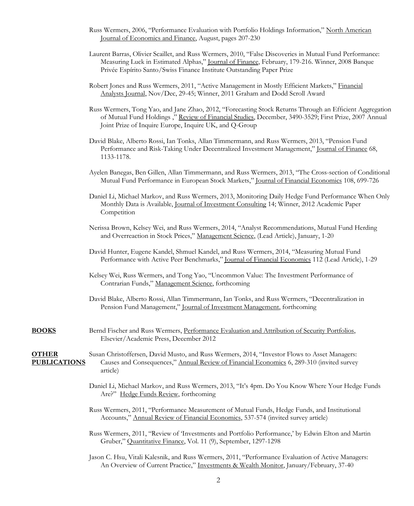- Russ Wermers, 2006, "Performance Evaluation with Portfolio Holdings Information," North American Journal of Economics and Finance, August, pages 207-230
- Laurent Barras, Olivier Scaillet, and Russ Wermers, 2010, "False Discoveries in Mutual Fund Performance: Measuring Luck in Estimated Alphas," Journal of Finance, February, 179-216. Winner, 2008 Banque Privée Espírito Santo/Swiss Finance Institute Outstanding Paper Prize
- Robert Jones and Russ Wermers, 2011, "Active Management in Mostly Efficient Markets," Financial Analysts Journal, Nov/Dec, 29-45; Winner, 2011 Graham and Dodd Scroll Award
- Russ Wermers, Tong Yao, and Jane Zhao, 2012, "Forecasting Stock Returns Through an Efficient Aggregation of Mutual Fund Holdings ," Review of Financial Studies, December, 3490-3529; First Prize, 2007 Annual Joint Prize of Inquire Europe, Inquire UK, and Q-Group
- David Blake, Alberto Rossi, Ian Tonks, Allan Timmermann, and Russ Wermers, 2013, "Pension Fund Performance and Risk-Taking Under Decentralized Investment Management," Journal of Finance 68, 1133-1178.
- Ayelen Banegas, Ben Gillen, Allan Timmermann, and Russ Wermers, 2013, "The Cross-section of Conditional Mutual Fund Performance in European Stock Markets," Journal of Financial Economics 108, 699-726
- Daniel Li, Michael Markov, and Russ Wermers, 2013, Monitoring Daily Hedge Fund Performance When Only Monthly Data is Available, Journal of Investment Consulting 14; Winner, 2012 Academic Paper Competition
- Nerissa Brown, Kelsey Wei, and Russ Wermers, 2014, "Analyst Recommendations, Mutual Fund Herding and Overreaction in Stock Prices," Management Science, (Lead Article), January, 1-20
- David Hunter, Eugene Kandel, Shmuel Kandel, and Russ Wermers, 2014, "Measuring Mutual Fund Performance with Active Peer Benchmarks," Journal of Financial Economics 112 (Lead Article), 1-29
- Kelsey Wei, Russ Wermers, and Tong Yao, "Uncommon Value: The Investment Performance of Contrarian Funds," Management Science, forthcoming
- David Blake, Alberto Rossi, Allan Timmermann, Ian Tonks, and Russ Wermers, "Decentralization in Pension Fund Management," Journal of Investment Management, forthcoming
- **BOOKS** Bernd Fischer and Russ Wermers, Performance Evaluation and Attribution of Security Portfolios, Elsevier/Academic Press, December 2012

**OTHER** Susan Christoffersen, David Musto, and Russ Wermers, 2014, "Investor Flows to Asset Managers: **PUBLICATIONS** Causes and Consequences," Annual Review of Financial Economics 6, 289-310 (invited survey article)

- Daniel Li, Michael Markov, and Russ Wermers, 2013, "It's 4pm. Do You Know Where Your Hedge Funds Are?" Hedge Funds Review, forthcoming
- Russ Wermers, 2011, "Performance Measurement of Mutual Funds, Hedge Funds, and Institutional Accounts," Annual Review of Financial Economics, 537-574 (invited survey article)
- Russ Wermers, 2011, "Review of 'Investments and Portfolio Performance,' by Edwin Elton and Martin Gruber," Quantitative Finance, Vol. 11 (9), September, 1297-1298
- Jason C. Hsu, Vitali Kalesnik, and Russ Wermers, 2011, "Performance Evaluation of Active Managers: An Overview of Current Practice," Investments & Wealth Monitor, January/February, 37-40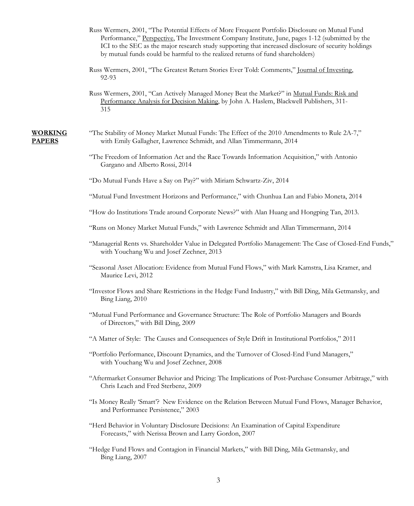- Russ Wermers, 2001, "The Potential Effects of More Frequent Portfolio Disclosure on Mutual Fund Performance," <u>Perspective</u>, The Investment Company Institute, June, pages 1-12 (submitted by the ICI to the SEC as the major research study supporting that increased disclosure of security holdings by mutual funds could be harmful to the realized returns of fund shareholders)
- Russ Wermers, 2001, "The Greatest Return Stories Ever Told: Comments," Journal of Investing, 92-93
- Russ Wermers, 2001, "Can Actively Managed Money Beat the Market?" in Mutual Funds: Risk and Performance Analysis for Decision Making, by John A. Haslem, Blackwell Publishers, 311- 315

- **WORKING** "The Stability of Money Market Mutual Funds: The Effect of the 2010 Amendments to Rule 2A-7," **PAPERS** with Emily Gallagher, Lawrence Schmidt, and Allan Timmermann, 2014
	- "The Freedom of Information Act and the Race Towards Information Acquisition," with Antonio Gargano and Alberto Rossi, 2014
	- "Do Mutual Funds Have a Say on Pay?" with Miriam Schwartz-Ziv, 2014
	- "Mutual Fund Investment Horizons and Performance," with Chunhua Lan and Fabio Moneta, 2014
	- "How do Institutions Trade around Corporate News?" with Alan Huang and Hongping Tan, 2013.
	- "Runs on Money Market Mutual Funds," with Lawrence Schmidt and Allan Timmermann, 2014
	- "Managerial Rents vs. Shareholder Value in Delegated Portfolio Management: The Case of Closed-End Funds," with Youchang Wu and Josef Zechner, 2013
	- "Seasonal Asset Allocation: Evidence from Mutual Fund Flows," with Mark Kamstra, Lisa Kramer, and Maurice Levi, 2012
	- "Investor Flows and Share Restrictions in the Hedge Fund Industry," with Bill Ding, Mila Getmansky, and Bing Liang, 2010
	- "Mutual Fund Performance and Governance Structure: The Role of Portfolio Managers and Boards of Directors," with Bill Ding, 2009
	- "A Matter of Style: The Causes and Consequences of Style Drift in Institutional Portfolios," 2011
	- "Portfolio Performance, Discount Dynamics, and the Turnover of Closed-End Fund Managers," with Youchang Wu and Josef Zechner, 2008
	- "Aftermarket Consumer Behavior and Pricing: The Implications of Post-Purchase Consumer Arbitrage," with Chris Leach and Fred Sterbenz, 2009
	- "Is Money Really 'Smart'? New Evidence on the Relation Between Mutual Fund Flows, Manager Behavior, and Performance Persistence," 2003
	- "Herd Behavior in Voluntary Disclosure Decisions: An Examination of Capital Expenditure Forecasts," with Nerissa Brown and Larry Gordon, 2007
	- "Hedge Fund Flows and Contagion in Financial Markets," with Bill Ding, Mila Getmansky, and Bing Liang, 2007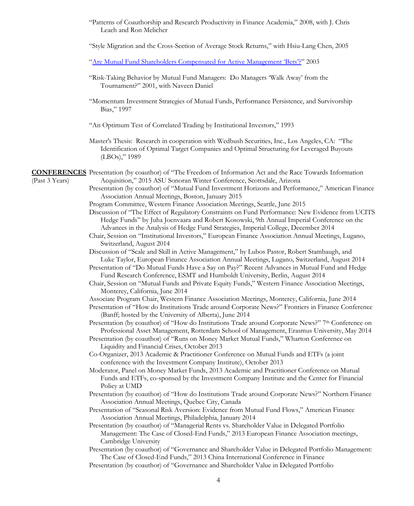"Patterns of Coauthorship and Research Productivity in Finance Academia," 2008, with J. Chris Leach and Ron Melicher

"Style Migration and the Cross-Section of Average Stock Returns," with Hsiu-Lang Chen, 2005

["Are Mutual Fund Shareholders Compensated for Active Management 'Bets'?"](http://www.rhsmith.umd.edu/finance/rwermers/FAJ%20Paper%20_Post-Submitted%20Version.pdf) 2003

- "Risk-Taking Behavior by Mutual Fund Managers: Do Managers 'Walk Away' from the Tournament?" 2001, with Naveen Daniel
- "Momentum Investment Strategies of Mutual Funds, Performance Persistence, and Survivorship Bias," 1997
- "An Optimum Test of Correlated Trading by Institutional Investors," 1993
- Master's Thesis: Research in cooperation with Wedbush Securities, Inc., Los Angeles, CA: "The Identification of Optimal Target Companies and Optimal Structuring for Leveraged Buyouts (LBOs)," 1989

**CONFERENCES** Presentation (by coauthor) of "The Freedom of Information Act and the Race Towards Information (Past 3 Years) Acquisition," 2015 ASU Sonoran Winter Conference, Scottsdale, Arizona

- Presentation (by coauthor) of "Mutual Fund Investment Horizons and Performance," American Finance Association Annual Meetings, Boston, January 2015
- Program Committee, Western Finance Association Meetings, Seattle, June 2015
- Discussion of "The Effect of Regulatory Constraints on Fund Performance: New Evidence from UCITS Hedge Funds" by Juha Joenvaara and Robert Kosowski, 9th Annual Imperial Conference on the Advances in the Analysis of Hedge Fund Strategies, Imperial College, December 2014
- Chair, Session on "Institutional Investors," European Finance Association Annual Meetings, Lugano, Switzerland, August 2014
- Discussion of "Scale and Skill in Active Management," by Lubos Pastor, Robert Stambaugh, and Luke Taylor, European Finance Association Annual Meetings, Lugano, Switzerland, August 2014
- Presentation of "Do Mutual Funds Have a Say on Pay?" Recent Advances in Mutual Fund and Hedge Fund Research Conference, ESMT and Humboldt University, Berlin, August 2014
- Chair, Session on "Mutual Funds and Private Equity Funds," Western Finance Association Meetings, Monterey, California, June 2014
- Associate Program Chair, Western Finance Association Meetings, Monterey, California, June 2014
- Presentation of "How do Institutions Trade around Corporate News?" Frontiers in Finance Conference (Banff; hosted by the University of Alberta), June 2014
- Presentation (by coauthor) of "How do Institutions Trade around Corporate News?" 7th Conference on Professional Asset Management, Rotterdam School of Management, Erasmus University, May 2014
- Presentation (by coauthor) of "Runs on Money Market Mutual Funds," Wharton Conference on Liquidity and Financial Crises, October 2013
- Co-Organizer, 2013 Academic & Practitioner Conference on Mutual Funds and ETFs (a joint conference with the Investment Company Institute), October 2013
- Moderator, Panel on Money Market Funds, 2013 Academic and Practitioner Conference on Mutual Funds and ETFs, co-sponsed by the Investment Company Institute and the Center for Financial Policy at UMD
- Presentation (by coauthor) of "How do Institutions Trade around Corporate News?" Northern Finance Association Annual Meetings, Quebec City, Canada
- Presentation of "Seasonal Risk Aversion: Evidence from Mutual Fund Flows," American Finance Association Annual Meetings, Philadelphia, January 2014

Presentation (by coauthor) of "Managerial Rents vs. Shareholder Value in Delegated Portfolio Management: The Case of Closed-End Funds," 2013 European Finance Association meetings, Cambridge University

- Presentation (by coauthor) of "Governance and Shareholder Value in Delegated Portfolio Management: The Case of Closed-End Funds," 2013 China International Conference in Finance
- Presentation (by coauthor) of "Governance and Shareholder Value in Delegated Portfolio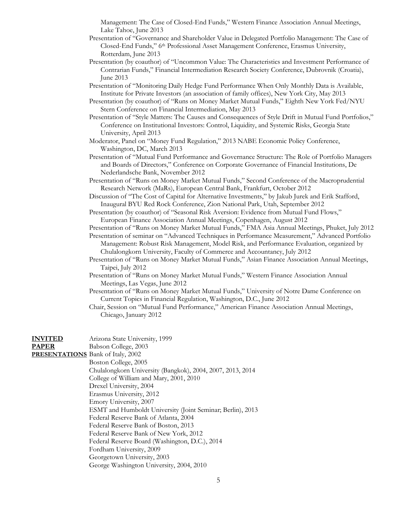Management: The Case of Closed-End Funds," Western Finance Association Annual Meetings, Lake Tahoe, June 2013

- Presentation of "Governance and Shareholder Value in Delegated Portfolio Management: The Case of Closed-End Funds," 6th Professional Asset Management Conference, Erasmus University, Rotterdam, June 2013
- Presentation (by coauthor) of "Uncommon Value: The Characteristics and Investment Performance of Contrarian Funds," Financial Intermediation Research Society Conference, Dubrovnik (Croatia), June 2013
- Presentation of "Monitoring Daily Hedge Fund Performance When Only Monthly Data is Available, Institute for Private Investors (an association of family offices), New York City, May 2013
- Presentation (by coauthor) of "Runs on Money Market Mutual Funds," Eighth New York Fed/NYU Stern Conference on Financial Intermediation, May 2013
- Presentation of "Style Matters: The Causes and Consequences of Style Drift in Mutual Fund Portfolios," Conference on Institutional Investors: Control, Liquidity, and Systemic Risks, Georgia State University, April 2013
- Moderator, Panel on "Money Fund Regulation," 2013 NABE Economic Policy Conference, Washington, DC, March 2013
- Presentation of "Mutual Fund Performance and Governance Structure: The Role of Portfolio Managers and Boards of Directors," Conference on Corporate Governance of Financial Institutions, De Nederlandsche Bank, November 2012
- Presentation of "Runs on Money Market Mutual Funds," Second Conference of the Macroprudential Research Network (MaRs), European Central Bank, Frankfurt, October 2012
- Discussion of "The Cost of Capital for Alternative Investments," by Jakub Jurek and Erik Stafford, Inaugural BYU Red Rock Conference, Zion National Park, Utah, September 2012
- Presentation (by coauthor) of "Seasonal Risk Aversion: Evidence from Mutual Fund Flows," European Finance Association Annual Meetings, Copenhagen, August 2012

Presentation of "Runs on Money Market Mutual Funds," FMA Asia Annual Meetings, Phuket, July 2012

Presentation of seminar on "Advanced Techniques in Performance Measurement," Advanced Portfolio Management: Robust Risk Management, Model Risk, and Performance Evaluation, organized by Chulalongkorn University, Faculty of Commerce and Accountancy, July 2012

- Presentation of "Runs on Money Market Mutual Funds," Asian Finance Association Annual Meetings, Taipei, July 2012
- Presentation of "Runs on Money Market Mutual Funds," Western Finance Association Annual Meetings, Las Vegas, June 2012
- Presentation of "Runs on Money Market Mutual Funds," University of Notre Dame Conference on Current Topics in Financial Regulation, Washington, D.C., June 2012

Chair, Session on "Mutual Fund Performance," American Finance Association Annual Meetings, Chicago, January 2012

# **INVITED** Arizona State University, 1999

**PAPER** Babson College, 2003

**PRESENTATIONS** Bank of Italy, 2002

- Boston College, 2005
	- Chulalongkorn University (Bangkok), 2004, 2007, 2013, 2014
	- College of William and Mary, 2001, 2010
	- Drexel University, 2004
	- Erasmus University, 2012
	- Emory University, 2007
- ESMT and Humboldt University (Joint Seminar; Berlin), 2013
	- Federal Reserve Bank of Atlanta, 2004
	- Federal Reserve Bank of Boston, 2013
	- Federal Reserve Bank of New York, 2012
	- Federal Reserve Board (Washington, D.C.), 2014
	- Fordham University, 2009
	- Georgetown University, 2003
	- George Washington University, 2004, 2010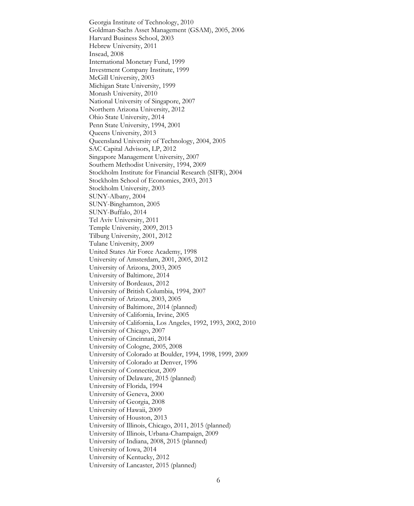Georgia Institute of Technology, 2010 Goldman-Sachs Asset Management (GSAM), 2005, 2006 Harvard Business School, 2003 Hebrew University, 2011 Insead, 2008 International Monetary Fund, 1999 Investment Company Institute, 1999 McGill University, 2003 Michigan State University, 1999 Monash University, 2010 National University of Singapore, 2007 Northern Arizona University, 2012 Ohio State University, 2014 Penn State University, 1994, 2001 Queens University, 2013 Queensland University of Technology, 2004, 2005 SAC Capital Advisors, LP, 2012 Singapore Management University, 2007 Southern Methodist University, 1994, 2009 Stockholm Institute for Financial Research (SIFR), 2004 Stockholm School of Economics, 2003, 2013 Stockholm University, 2003 SUNY-Albany, 2004 SUNY-Binghamton, 2005 SUNY-Buffalo, 2014 Tel Aviv University, 2011 Temple University, 2009, 2013 Tilburg University, 2001, 2012 Tulane University, 2009 United States Air Force Academy, 1998 University of Amsterdam, 2001, 2005, 2012 University of Arizona, 2003, 2005 University of Baltimore, 2014 University of Bordeaux, 2012 University of British Columbia, 1994, 2007 University of Arizona, 2003, 2005 University of Baltimore, 2014 (planned) University of California, Irvine, 2005 University of California, Los Angeles, 1992, 1993, 2002, 2010 University of Chicago, 2007 University of Cincinnati, 2014 University of Cologne, 2005, 2008 University of Colorado at Boulder, 1994, 1998, 1999, 2009 University of Colorado at Denver, 1996 University of Connecticut, 2009 University of Delaware, 2015 (planned) University of Florida, 1994 University of Geneva, 2000 University of Georgia, 2008 University of Hawaii, 2009 University of Houston, 2013 University of Illinois, Chicago, 2011, 2015 (planned) University of Illinois, Urbana-Champaign, 2009 University of Indiana, 2008, 2015 (planned) University of Iowa, 2014 University of Kentucky, 2012 University of Lancaster, 2015 (planned)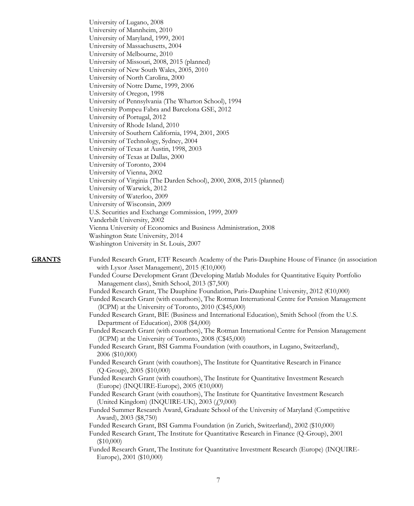University of Lugano, 2008 University of Mannheim, 2010 University of Maryland, 1999, 2001 University of Massachusetts, 2004 University of Melbourne, 2010 University of Missouri, 2008, 2015 (planned) University of New South Wales, 2005, 2010 University of North Carolina, 2000 University of Notre Dame, 1999, 2006 University of Oregon, 1998 University of Pennsylvania (The Wharton School), 1994 University Pompeu Fabra and Barcelona GSE, 2012 University of Portugal, 2012 University of Rhode Island, 2010 University of Southern California, 1994, 2001, 2005 University of Technology, Sydney, 2004 University of Texas at Austin, 1998, 2003 University of Texas at Dallas, 2000 University of Toronto, 2004 University of Vienna, 2002 University of Virginia (The Darden School), 2000, 2008, 2015 (planned) University of Warwick, 2012 University of Waterloo, 2009 University of Wisconsin, 2009 U.S. Securities and Exchange Commission, 1999, 2009 Vanderbilt University, 2002 Vienna University of Economics and Business Administration, 2008 Washington State University, 2014 Washington University in St. Louis, 2007

**GRANTS** Funded Research Grant, ETF Research Academy of the Paris-Dauphine House of Finance (in association with Lyxor Asset Management), 2015 (€10,000)

> Funded Course Development Grant (Developing Matlab Modules for Quantitative Equity Portfolio Management class), Smith School, 2013 (\$7,500)

Funded Research Grant, The Dauphine Foundation, Paris-Dauphine University, 2012 (€10,000)

Funded Research Grant (with coauthors), The Rotman International Centre for Pension Management (ICPM) at the University of Toronto, 2010 (C\$45,000)

Funded Research Grant, BIE (Business and International Education), Smith School (from the U.S. Department of Education), 2008 (\$4,000)

Funded Research Grant (with coauthors), The Rotman International Centre for Pension Management (ICPM) at the University of Toronto, 2008 (C\$45,000)

Funded Research Grant, BSI Gamma Foundation (with coauthors, in Lugano, Switzerland), 2006 (\$10,000)

Funded Research Grant (with coauthors), The Institute for Quantitative Research in Finance (Q-Group), 2005 (\$10,000)

Funded Research Grant (with coauthors), The Institute for Quantitative Investment Research (Europe) (INQUIRE-Europe), 2005 (€10,000)

Funded Research Grant (with coauthors), The Institute for Quantitative Investment Research (United Kingdom) (INQUIRE-UK), 2003 (£9,000)

Funded Summer Research Award, Graduate School of the University of Maryland (Competitive Award), 2003 (\$8,750)

Funded Research Grant, BSI Gamma Foundation (in Zurich, Switzerland), 2002 (\$10,000)

Funded Research Grant, The Institute for Quantitative Research in Finance (Q-Group), 2001 (\$10,000)

Funded Research Grant, The Institute for Quantitative Investment Research (Europe) (INQUIRE-Europe), 2001 (\$10,000)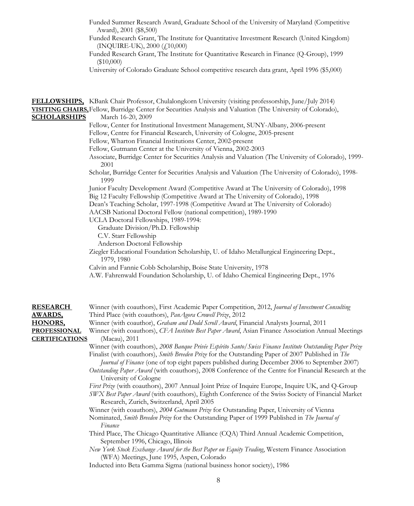- Funded Summer Research Award, Graduate School of the University of Maryland (Competitive Award), 2001 (\$8,500)
- Funded Research Grant, The Institute for Quantitative Investment Research (United Kingdom) (INQUIRE-UK), 2000 (£10,000)
- Funded Research Grant, The Institute for Quantitative Research in Finance (Q-Group), 1999 (\$10,000)
- University of Colorado Graduate School competitive research data grant, April 1996 (\$5,000)

| <b>SCHOLARSHIPS</b>                                                                                 | <b>FELLOWSHIPS,</b> KBank Chair Professor, Chulalongkorn University (visiting professorship, June/July 2014)<br>VISITING CHAIRS, Fellow, Burridge Center for Securities Analysis and Valuation (The University of Colorado),<br>March 16-20, 2009                                                                                                                                                                                                                                                                                                                                                                                                                                                                                                                                                                                                                                                                                                                                                                                                                                                                                                                                                                                                                                                                                                                                                                                                                                                                                                                                                                                                                          |
|-----------------------------------------------------------------------------------------------------|----------------------------------------------------------------------------------------------------------------------------------------------------------------------------------------------------------------------------------------------------------------------------------------------------------------------------------------------------------------------------------------------------------------------------------------------------------------------------------------------------------------------------------------------------------------------------------------------------------------------------------------------------------------------------------------------------------------------------------------------------------------------------------------------------------------------------------------------------------------------------------------------------------------------------------------------------------------------------------------------------------------------------------------------------------------------------------------------------------------------------------------------------------------------------------------------------------------------------------------------------------------------------------------------------------------------------------------------------------------------------------------------------------------------------------------------------------------------------------------------------------------------------------------------------------------------------------------------------------------------------------------------------------------------------|
|                                                                                                     | Fellow, Center for Institutional Investment Management, SUNY-Albany, 2006-present<br>Fellow, Centre for Financial Research, University of Cologne, 2005-present<br>Fellow, Wharton Financial Institutions Center, 2002-present<br>Fellow, Gutmann Center at the University of Vienna, 2002-2003<br>Associate, Burridge Center for Securities Analysis and Valuation (The University of Colorado), 1999-<br>2001                                                                                                                                                                                                                                                                                                                                                                                                                                                                                                                                                                                                                                                                                                                                                                                                                                                                                                                                                                                                                                                                                                                                                                                                                                                            |
|                                                                                                     | Scholar, Burridge Center for Securities Analysis and Valuation (The University of Colorado), 1998-<br>1999                                                                                                                                                                                                                                                                                                                                                                                                                                                                                                                                                                                                                                                                                                                                                                                                                                                                                                                                                                                                                                                                                                                                                                                                                                                                                                                                                                                                                                                                                                                                                                 |
|                                                                                                     | Junior Faculty Development Award (Competitive Award at The University of Colorado), 1998<br>Big 12 Faculty Fellowship (Competitive Award at The University of Colorado), 1998<br>Dean's Teaching Scholar, 1997-1998 (Competitive Award at The University of Colorado)<br>AACSB National Doctoral Fellow (national competition), 1989-1990<br>UCLA Doctoral Fellowships, 1989-1994:<br>Graduate Division/Ph.D. Fellowship<br>C.V. Starr Fellowship                                                                                                                                                                                                                                                                                                                                                                                                                                                                                                                                                                                                                                                                                                                                                                                                                                                                                                                                                                                                                                                                                                                                                                                                                          |
|                                                                                                     | Anderson Doctoral Fellowship<br>Ziegler Educational Foundation Scholarship, U. of Idaho Metallurgical Engineering Dept.,<br>1979, 1980                                                                                                                                                                                                                                                                                                                                                                                                                                                                                                                                                                                                                                                                                                                                                                                                                                                                                                                                                                                                                                                                                                                                                                                                                                                                                                                                                                                                                                                                                                                                     |
|                                                                                                     | Calvin and Fannie Cobb Scholarship, Boise State University, 1978<br>A.W. Fahrenwald Foundation Scholarship, U. of Idaho Chemical Engineering Dept., 1976                                                                                                                                                                                                                                                                                                                                                                                                                                                                                                                                                                                                                                                                                                                                                                                                                                                                                                                                                                                                                                                                                                                                                                                                                                                                                                                                                                                                                                                                                                                   |
| <b>RESEARCH</b><br><u>AWARDS,</u><br><u>HONORS,</u><br><b>PROFESSIONAL</b><br><b>CERTIFICATIONS</b> | Winner (with coauthors), First Academic Paper Competition, 2012, Journal of Investment Consulting<br>Third Place (with coauthors), PanAgora Crowell Prize, 2012<br>Winner (with coauthor), Graham and Dodd Scroll Award, Financial Analysts Journal, 2011<br>Winner (with coauthors), CFA Institute Best Paper Award, Asian Finance Association Annual Meetings<br>(Macau), 2011<br>Winner (with coauthors), 2008 Banque Privée Espírito Santo/ Swiss Finance Institute Outstanding Paper Prize<br>Finalist (with coauthors), <i>Smith Breeden Prize</i> for the Outstanding Paper of 2007 Published in The<br>Journal of Finance (one of top eight papers published during December 2006 to September 2007)<br>Outstanding Paper Award (with coauthors), 2008 Conference of the Centre for Financial Research at the<br>University of Cologne<br>First Prize (with coauthors), 2007 Annual Joint Prize of Inquire Europe, Inquire UK, and Q-Group<br>SWX Best Paper Award (with coauthors), Eighth Conference of the Swiss Society of Financial Market<br>Research, Zurich, Switzerland, April 2005<br>Winner (with coauthors), 2004 Gutmann Prize for Outstanding Paper, University of Vienna<br>Nominated, Smith Breeden Prize for the Outstanding Paper of 1999 Published in The Journal of<br>Finance<br>Third Place, The Chicago Quantitative Alliance (CQA) Third Annual Academic Competition,<br>September 1996, Chicago, Illinois<br>New York Stock Exchange Award for the Best Paper on Equity Trading, Western Finance Association<br>(WFA) Meetings, June 1995, Aspen, Colorado<br>Inducted into Beta Gamma Sigma (national business honor society), 1986<br>8 |
|                                                                                                     |                                                                                                                                                                                                                                                                                                                                                                                                                                                                                                                                                                                                                                                                                                                                                                                                                                                                                                                                                                                                                                                                                                                                                                                                                                                                                                                                                                                                                                                                                                                                                                                                                                                                            |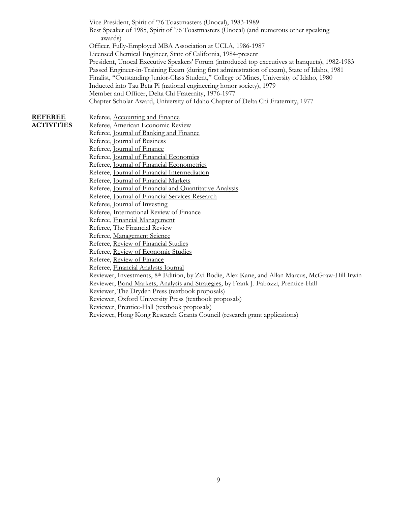Vice President, Spirit of '76 Toastmasters (Unocal), 1983-1989 Best Speaker of 1985, Spirit of '76 Toastmasters (Unocal) (and numerous other speaking awards) Officer, Fully-Employed MBA Association at UCLA, 1986-1987 Licensed Chemical Engineer, State of California, 1984-present President, Unocal Executive Speakers' Forum (introduced top executives at banquets), 1982-1983 Passed Engineer-in-Training Exam (during first administration of exam), State of Idaho, 1981 Finalist, "Outstanding Junior-Class Student," College of Mines, University of Idaho, 1980 Inducted into Tau Beta Pi (national engineering honor society), 1979 Member and Officer, Delta Chi Fraternity, 1976-1977 Chapter Scholar Award, University of Idaho Chapter of Delta Chi Fraternity, 1977

### **REFEREE** Referee, Accounting and Finance **ACTIVITIES** Referee, American Economic Review

Referee, Journal of Banking and Finance Referee, Journal of Business Referee, Journal of Finance Referee, Journal of Financial Economics Referee, Journal of Financial Econometrics Referee, Journal of Financial Intermediation Referee, Journal of Financial Markets Referee, Journal of Financial and Quantitative Analysis Referee, Journal of Financial Services Research Referee, Journal of Investing Referee, International Review of Finance Referee, Financial Management Referee, The Financial Review Referee, Management Science Referee, Review of Financial Studies Referee, Review of Economic Studies Referee, Review of Finance Referee, Financial Analysts Journal Reviewer, Investments, 8th Edition, by Zvi Bodie, Alex Kane, and Allan Marcus, McGraw-Hill Irwin Reviewer, Bond Markets, Analysis and Strategies, by Frank J. Fabozzi, Prentice-Hall Reviewer, The Dryden Press (textbook proposals) Reviewer, Oxford University Press (textbook proposals) Reviewer, Prentice-Hall (textbook proposals) Reviewer, Hong Kong Research Grants Council (research grant applications)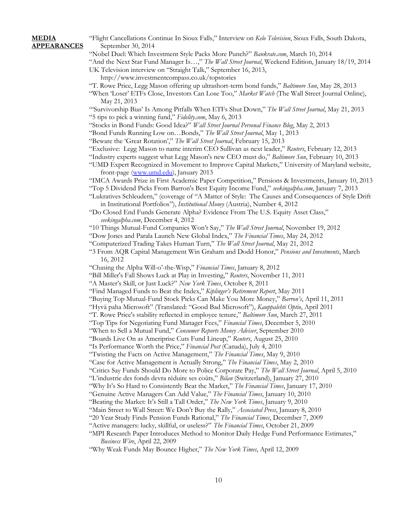**MEDIA** "Flight Cancellations Continue In Sioux Falls," Interview on *Kelo Television*, Sioux Falls, South Dakota, **APPEARANCES** September 30, 2014

"Nobel Duel: Which Investment Style Packs More Punch?" *Bankrate.com*, March 10, 2014

"And the Next Star Fund Manager Is…," *The Wall Street Journal*, Weekend Edition, January 18/19, 2014

UK Television interview on "Straight Talk," September 16, 2013,

- http://www.investmentcompass.co.uk/topstories "T. Rowe Price, Legg Mason offering up ultrashort-term bond funds," *Baltimore Sun*, May 28, 2013
- "When 'Loser' ETFs Close, Investors Can Lose Too," *Market Watch* (The Wall Street Journal Online), May 21, 2013

"'Survivorship Bias' Is Among Pitfalls When ETFs Shut Down," *The Wall Street Journal*, May 21, 2013 "5 tips to pick a winning fund," *Fidelity.com*, May 6, 2013

- "Stocks in Bond Funds: Good Idea?" *Wall Street Journal Personal Finance Blog*, May 2, 2013
- "Bond Funds Running Low on…Bonds," *The Wall Street Journal*, May 1, 2013
- "Beware the 'Great Rotation'," *The Wall Street Journal*, February 15, 2013

"Exclusive: Legg Mason to name interim CEO Sullivan as next leader," *Reuters*, February 12, 2013

"Industry experts suggest what Legg Mason's new CEO must do," *Baltimore Sun*, February 10, 2013

"UMD Expert Recognized in Movement to Improve Capital Markets," University of Maryland website, front-page [\(www.umd.edu\)](http://www.umd.edu/), January 2013

"IMCA Awards Prize in First Academic Paper Competition," Pensions & Investments, January 10, 2013

- "Top 5 Dividend Picks From Barron's Best Equity Income Fund," *seekingalpha.com*, January 7, 2013 "Lukratives Schleudern," (coverage of "A Matter of Style: The Causes and Consequences of Style Drift
- in Institutional Portfolios"), *Institutional Money* (Austria), Number 4, 2012 "Do Closed End Funds Generate Alpha? Evidence From The U.S. Equity Asset Class," *seekingalpha.com*, December 4, 2012

"10 Things Mutual-Fund Companies Won't Say," *The Wall Street Journal*, November 19, 2012

"Dow Jones and Parala Launch New Global Index," *The Financial Times*, May 24, 2012

- "Computerized Trading Takes Human Turn," *The Wall Street Journal*, May 21, 2012
- "3 From AQR Capital Management Win Graham and Dodd Honor," *Pensions and Investments*, March 16, 2012
- "Chasing the Alpha Will-o'-the-Wisp," *Financial Times*, January 8, 2012
- "Bill Miller's Fall Shows Luck at Play in Investing," *Reuters*, November 11, 2011
- "A Master's Skill, or Just Luck?" *New York Times*, October 8, 2011

"Find Managed Funds to Beat the Index," *Kiplinger's Retirement Report*, May 2011

"Buying Top Mutual-Fund Stock Picks Can Make You More Money," *Barron's*, April 11, 2011

"Hyvä paha Microsoft" (Translated: "Good Bad Microsoft"), *Kauppalehti Optio*, April 2011

- "T. Rowe Price's stability reflected in employee tenure," *Baltimore Sun*, March 27, 2011
- "Top Tips for Negotiating Fund Manager Fees," *Financial Times*, December 5, 2010

"When to Sell a Mutual Fund," *Consumer Reports Money Adviser*, September 2010

- "Boards Live On as Ameriprise Cuts Fund Lineup," *Reuters*, August 25, 2010
- "Is Performance Worth the Price," *Financial Post* (Canada), July 4, 2010
- "Twisting the Facts on Active Management," *The Financial Times*, May 9, 2010
- "Case for Active Management is Actually Strong," *The Financial Times*, May 2, 2010

"Critics Say Funds Should Do More to Police Corporate Pay," *The Wall Street Journal*, April 5, 2010

- "L'industrie des fonds devra réduire ses coûts," *Bilan* (Switzerland), January 27, 2010
- "Why It's So Hard to Consistently Beat the Market," *The Financial Times*, January 17, 2010
- "Genuine Active Managers Can Add Value," *The Financial Times*, January 10, 2010
- "Beating the Market: It's Still a Tall Order," *The New York Times*, January 9, 2010
- "Main Street to Wall Street: We Don't Buy the Rally," *Associated Press*, January 8, 2010
- "20 Year Study Finds Pension Funds Rational," *The Financial Times*, December 7, 2009
- "Active managers: lucky, skillful, or useless?" *The Financial Times*, October 21, 2009
- "MPI Research Paper Introduces Method to Monitor Daily Hedge Fund Performance Estimates," *Business Wire*, April 22, 2009
- "Why Weak Funds May Bounce Higher," *The New York Times*, April 12, 2009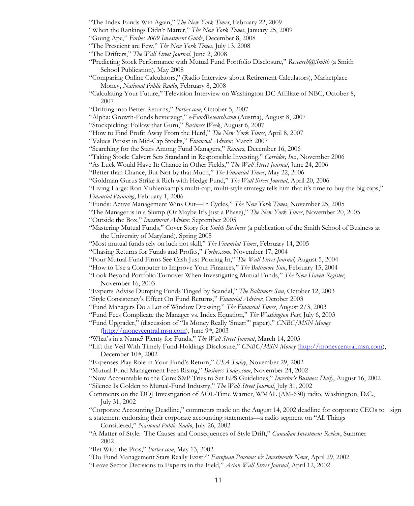- "The Index Funds Win Again," *The New York Times*, February 22, 2009
- "When the Rankings Didn't Matter," *The New York Times*, January 25, 2009
- "Going Ape," *Forbes 2009 Investment Guide*, December 8, 2008
- "The Prescient are Few," *The New York Times*, July 13, 2008
- "The Drifters," *The Wall Street Journal*, June 2, 2008
- "Predicting Stock Performance with Mutual Fund Portfolio Disclosure," *Research@Smith* (a Smith School Publication), May 2008
- "Comparing Online Calculators," (Radio Interview about Retirement Calculators), Marketplace Money, *National Public Radio*, February 8, 2008
- "Calculating Your Future," Television Interview on Washington DC Affiliate of NBC, October 8, 2007
- "Drifting into Better Returns," *Forbes.com*, October 5, 2007
- "Alpha: Growth-Fonds bevorzugt," *e-FundResearch.com* (Austria), August 8, 2007
- "Stockpicking: Follow that Guru," *Business Week*, August 6, 2007
- "How to Find Profit Away From the Herd," *The New York Times*, April 8, 2007
- "Values Persist in Mid-Cap Stocks," *Financial Advisor*, March 2007
- "Searching for the Stars Among Fund Managers," *Reuters*, December 16, 2006
- "Taking Stock: Calvert Sets Standard in Responsible Investing," *Corridor, Inc.*, November 2006
- "As Luck Would Have It: Chance in Other Fields," *The Wall Street Journal*, June 24, 2006
- "Better than Chance, But Not by that Much," *The Financial Times*, May 22, 2006
- "Goldman Gurus Strike it Rich with Hedge Fund," *The Wall Street Journal*, April 20, 2006
- "Living Large: Ron Muhlenkamp's multi-cap, multi-style strategy tells him that it's time to buy the big caps," *Financial Planning*, February 1, 2006
- "Funds: Active Management Wins Out—In Cycles," *The New York Times*, November 25, 2005
- "The Manager is in a Slump (Or Maybe It's Just a Phase)," *The New York Times*, November 20, 2005
- "Outside the Box," *Investment Advisor*, September 2005
- "Mastering Mutual Funds," Cover Story for *Smith Business* (a publication of the Smith School of Business at the University of Maryland), Spring 2005
- "Most mutual funds rely on luck not skill," *The Financial Times*, February 14, 2005
- "Chasing Returns for Funds and Profits," *Forbes.com*, November 17, 2004
- "Four Mutual-Fund Firms See Cash Just Pouring In," *The Wall Street Journal*, August 5, 2004
- "How to Use a Computer to Improve Your Finances," *The Baltimore Sun*, February 15, 2004
- "Look Beyond Portfolio Turnover When Investigating Mutual Funds," *The New Haven Register*, November 16, 2003
- "Experts Advise Dumping Funds Tinged by Scandal," *The Baltimore Sun*, October 12, 2003
- "Style Consistency's Effect On Fund Returns," *Financial Advisor*, October 2003
- "Fund Managers Do a Lot of Window Dressing," *The Financial Times*, August 2/3, 2003
- "Fund Fees Complicate the Manager vs. Index Equation," *The Washington Post*, July 6, 2003
- "Fund Upgrader," (discussion of "Is Money Really 'Smart'" paper)," *CNBC/MSN Money* [\(http://moneycentral.msn.com\)](http://moneycentral.msn.com/), June 9th, 2003
- "What's in a Name? Plenty for Funds," *The Wall Street Journal*, March 14, 2003
- "Lift the Veil With Timely Fund-Holdings Disclosure," *CNBC/MSN Money* [\(http://moneycentral.msn.com\)](http://moneycentral.msn.com/), December 10th, 2002
- "Expenses Play Role in Your Fund's Return," *USA Today*, November 29, 2002
- "Mutual Fund Management Fees Rising," *Business Today.com*, November 24, 2002

"Now Accountable to the Core: S&P Tries to Set EPS Guidelines," *Investor's Business Daily*, August 16, 2002

- "Silence Is Golden to Mutual-Fund Industry," *The Wall Street Journal*, July 31, 2002
- Comments on the DOJ Investigation of AOL-Time Warner, WMAL (AM-630) radio, Washington, D.C., July 31, 2002
- "Corporate Accounting Deadline," comments made on the August 14, 2002 deadline for corporate CEOs to sign a statement endorsing their corporate accounting statements—a radio segment on "All Things
	- Considered," *National Public Radio*, July 26, 2002
- "A Matter of Style: The Causes and Consequences of Style Drift," *Canadian Investment Review*, Summer 2002
- "Bet With the Pros," *Forbes.com*, May 13, 2002
- "Do Fund Management Stars Really Exist?" *European Pensions & Investments News*, April 29, 2002
- "Leave Sector Decisions to Experts in the Field," *Asian Wall Street Journal*, April 12, 2002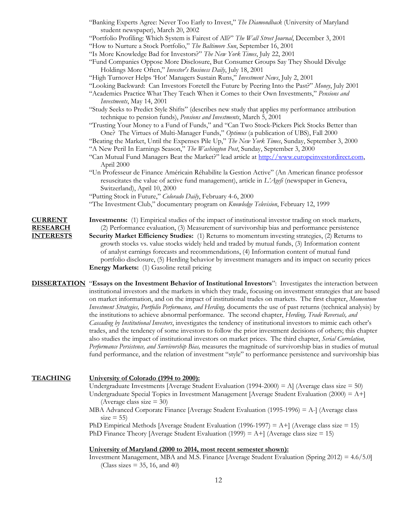- "Banking Experts Agree: Never Too Early to Invest," *The Diamondback* (University of Maryland student newspaper), March 20, 2002
- "Portfolio Profiling: Which System is Fairest of All?" *The Wall Street Journal*, December 3, 2001
- "How to Nurture a Stock Portfolio," *The Baltimore Sun*, September 16, 2001
- "Is More Knowledge Bad for Investors?" *The New York Times*, July 22, 2001
- "Fund Companies Oppose More Disclosure, But Consumer Groups Say They Should Divulge Holdings More Often," *Investor's Business Daily*, July 18, 2001
- "High Turnover Helps 'Hot' Managers Sustain Runs," *Investment News*, July 2, 2001
- "Looking Backward: Can Investors Foretell the Future by Peering Into the Past?" *Money*, July 2001
- "Academics Practice What They Teach When it Comes to their Own Investments," *Pensions and Investments*, May 14, 2001
- "Study Seeks to Predict Style Shifts" (describes new study that applies my performance attribution technique to pension funds), *Pensions and Investments*, March 5, 2001
- "Trusting Your Money to a Fund of Funds," and "Can Two Stock-Pickers Pick Stocks Better than One? The Virtues of Multi-Manager Funds," *Optimus* (a publication of UBS), Fall 2000
- "Beating the Market, Until the Expenses Pile Up," *The New York Times*, Sunday, September 3, 2000 "A New Peril In Earnings Season," *The Washington Post*, Sunday, September 3, 2000
- "Can Mutual Fund Managers Beat the Market?" lead article at [http://www.europeinvestordirect.com,](http://www.europeinvestordirect.com/) April 2000
- "Un Professeur de Finance Américain Réhabilite la Gestion Active" (An American finance professor resuscitates the value of active fund management), article in *L'Agefi* (newspaper in Geneva, Switzerland), April 10, 2000
- "Putting Stock in Future," *Colorado Daily*, February 4-6, 2000
- "The Investment Club," documentary program on *Knowledge Television*, February 12, 1999

# **CURRENT Investments:** (1) Empirical studies of the impact of institutional investor trading on stock markets, **RESEARCH** (2) Performance evaluation, (3) Measurement of survivorship bias and performance persistence **INTERESTS Security Market Efficiency Studies:** (1) Returns to momentum investing strategies, (2) Returns to

growth stocks vs. value stocks widely held and traded by mutual funds, (3) Information content of analyst earnings forecasts and recommendations, (4) Information content of mutual fund portfolio disclosure, (5) Herding behavior by investment managers and its impact on security prices **Energy Markets:** (1) Gasoline retail pricing

**DISSERTATION** "**Essays on the Investment Behavior of Institutional Investors**": Investigates the interaction between institutional investors and the markets in which they trade, focusing on investment strategies that are based on market information, and on the impact of institutional trades on markets. The first chapter, *Momentum Investment Strategies, Portfolio Performance, and Herding,* documents the use of past returns (technical analysis) by the institutions to achieve abnormal performance. The second chapter, *Herding, Trade Reversals, and Cascading by Institutional Investors*, investigates the tendency of institutional investors to mimic each other's trades, and the tendency of some investors to follow the prior investment decisions of others; this chapter also studies the impact of institutional investors on market prices. The third chapter, *Serial Correlation, Performance Persistence, and Survivorship Bias,* measures the magnitude of survivorship bias in studies of mutual fund performance, and the relation of investment "style" to performance persistence and survivorship bias

# **TEACHING University of Colorado (1994 to 2000):**

Undergraduate Investments [Average Student Evaluation (1994-2000) = A] (Average class size = 50) Undergraduate Special Topics in Investment Management [Average Student Evaluation (2000) = A+] (Average class size  $= 30$ )

MBA Advanced Corporate Finance [Average Student Evaluation (1995-1996) = A-] (Average class  $size = 55$ 

PhD Empirical Methods [Average Student Evaluation (1996-1997) =  $A+$ ] (Average class size = 15) PhD Finance Theory [Average Student Evaluation (1999) =  $A+$ ] (Average class size = 15)

# **University of Maryland (2000 to 2014, most recent semester shown):**

Investment Management, MBA and M.S. Finance [Average Student Evaluation (Spring 2012) = 4.6/5.0] (Class sizes  $=$  35, 16, and 40)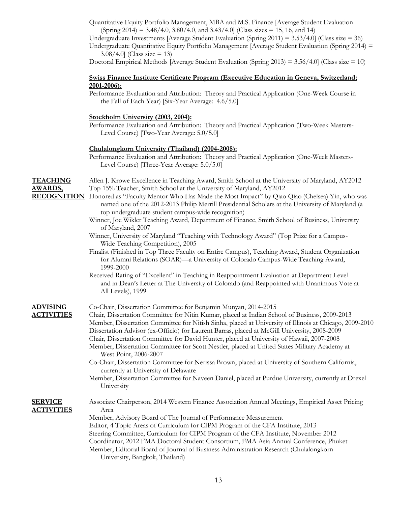Quantitative Equity Portfolio Management, MBA and M.S. Finance [Average Student Evaluation (Spring 2014) = 3.48/4.0, 3.80/4.0, and 3.43/4.0] (Class sizes = 15, 16, and 14)

Undergraduate Investments [Average Student Evaluation (Spring 2011) = 3.53/4.0] (Class size = 36)

Undergraduate Quantitative Equity Portfolio Management [Average Student Evaluation (Spring 2014) =  $3.08/4.0$ ] (Class size = 13)

Doctoral Empirical Methods [Average Student Evaluation (Spring 2013) = 3.56/4.0] (Class size = 10)

### **Swiss Finance Institute Certificate Program (Executive Education in Geneva, Switzerland; 2001-2006):**

Performance Evaluation and Attribution: Theory and Practical Application (One-Week Course in the Fall of Each Year) [Six-Year Average: 4.6/5.0]

### **Stockholm University (2003, 2004):**

Performance Evaluation and Attribution: Theory and Practical Application (Two-Week Masters-Level Course) [Two-Year Average: 5.0/5.0]

### **Chulalongkorn University (Thailand) (2004-2008):**

Performance Evaluation and Attribution: Theory and Practical Application (One-Week Masters-Level Course) [Three-Year Average: 5.0/5.0]

| <b>TEACHING</b><br><b>AWARDS,</b>   | Allen J. Krowe Excellence in Teaching Award, Smith School at the University of Maryland, AY2012<br>Top 15% Teacher, Smith School at the University of Maryland, AY2012                                                                                                    |
|-------------------------------------|---------------------------------------------------------------------------------------------------------------------------------------------------------------------------------------------------------------------------------------------------------------------------|
|                                     | <b>RECOGNITION</b> Honored as "Faculty Mentor Who Has Made the Most Impact" by Qiao Qiao (Chelsea) Yin, who was<br>named one of the 2012-2013 Philip Merrill Presidential Scholars at the University of Maryland (a<br>top undergraduate student campus-wide recognition) |
|                                     | Winner, Joe Wikler Teaching Award, Department of Finance, Smith School of Business, University<br>of Maryland, 2007                                                                                                                                                       |
|                                     | Winner, University of Maryland "Teaching with Technology Award" (Top Prize for a Campus-<br>Wide Teaching Competition), 2005                                                                                                                                              |
|                                     | Finalist (Finished in Top Three Faculty on Entire Campus), Teaching Award, Student Organization<br>for Alumni Relations (SOAR)—a University of Colorado Campus-Wide Teaching Award,<br>1999-2000                                                                          |
|                                     | Received Rating of "Excellent" in Teaching in Reappointment Evaluation at Department Level<br>and in Dean's Letter at The University of Colorado (and Reappointed with Unanimous Vote at<br>All Levels), 1999                                                             |
| <b>ADVISING</b>                     | Co-Chair, Dissertation Committee for Benjamin Munyan, 2014-2015                                                                                                                                                                                                           |
| <b>ACTIVITIES</b>                   | Chair, Dissertation Committee for Nitin Kumar, placed at Indian School of Business, 2009-2013<br>Member, Dissertation Committee for Nitish Sinha, placed at University of Illinois at Chicago, 2009-2010                                                                  |
|                                     | Dissertation Advisor (ex-Officio) for Laurent Barras, placed at McGill University, 2008-2009<br>Chair, Dissertation Committee for David Hunter, placed at University of Hawaii, 2007-2008                                                                                 |
|                                     | Member, Dissertation Committee for Scott Nestler, placed at United States Military Academy at<br>West Point, 2006-2007                                                                                                                                                    |
|                                     | Co-Chair, Dissertation Committee for Nerissa Brown, placed at University of Southern California,<br>currently at University of Delaware                                                                                                                                   |
|                                     | Member, Dissertation Committee for Naveen Daniel, placed at Purdue University, currently at Drexel<br>University                                                                                                                                                          |
| <b>SERVICE</b><br><b>ACTIVITIES</b> | Associate Chairperson, 2014 Western Finance Association Annual Meetings, Empirical Asset Pricing<br>Area                                                                                                                                                                  |
|                                     | Member, Advisory Board of The Journal of Performance Measurement                                                                                                                                                                                                          |
|                                     | Editor, 4 Topic Areas of Curriculum for CIPM Program of the CFA Institute, 2013                                                                                                                                                                                           |
|                                     | Steering Committee, Curriculum for CIPM Program of the CFA Institute, November 2012                                                                                                                                                                                       |
|                                     | Coordinator, 2012 FMA Doctoral Student Consortium, FMA Asia Annual Conference, Phuket<br>Member, Editorial Board of Journal of Business Administration Research (Chulalongkorn                                                                                            |
|                                     | University, Bangkok, Thailand)                                                                                                                                                                                                                                            |

13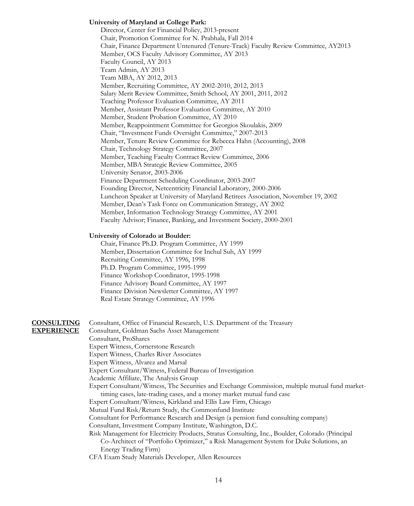#### **University of Maryland at College Park:**

Director, Center for Financial Policy, 2013-present Chair, Promotion Committee for N. Prabhala, Fall 2014 Chair, Finance Department Untenured (Tenure-Track) Faculty Review Committee, AY2013 Member, OCS Faculty Advisory Committee, AY 2013 Faculty Council, AY 2013 Team Admin, AY 2013 Team MBA, AY 2012, 2013 Member, Recruiting Committee, AY 2002-2010, 2012, 2013 Salary Merit Review Committee, Smith School, AY 2001, 2011, 2012 Teaching Professor Evaluation Committee, AY 2011 Member, Assistant Professor Evaluation Committee, AY 2010 Member, Student Probation Committee, AY 2010 Member, Reappointment Committee for Georgios Skoulakis, 2009 Chair, "Investment Funds Oversight Committee," 2007-2013 Member, Tenure Review Committee for Rebecca Hahn (Accounting), 2008 Chair, Technology Strategy Committee, 2007 Member, Teaching Faculty Contract Review Committee, 2006 Member, MBA Strategic Review Committee, 2005 University Senator, 2003-2006 Finance Department Scheduling Coordinator, 2003-2007 Founding Director, Netcentricity Financial Laboratory, 2000-2006 Luncheon Speaker at University of Maryland Retirees Association, November 19, 2002 Member, Dean's Task Force on Communication Strategy, AY 2002 Member, Information Technology Strategy Committee, AY 2001 Faculty Advisor; Finance, Banking, and Investment Society, 2000-2001

#### **University of Colorado at Boulder:**

Chair, Finance Ph.D. Program Committee, AY 1999 Member, Dissertation Committee for Inchul Suh, AY 1999 Recruiting Committee, AY 1996, 1998 Ph.D. Program Committee, 1995-1999 Finance Workshop Coordinator, 1995-1998 Finance Advisory Board Committee, AY 1997 Finance Division Newsletter Committee, AY 1997 Real Estate Strategy Committee, AY 1996

# **CONSULTING** Consultant, Office of Financial Research, U.S. Department of the Treasury

**EXPERIENCE** Consultant, Goldman Sachs Asset Management Consultant, ProShares Expert Witness, Cornerstone Research Expert Witness, Charles River Associates Expert Witness, Alvarez and Marsal Expert Consultant/Witness, Federal Bureau of Investigation Academic Affiliate, The Analysis Group Expert Consultant/Witness, The Securities and Exchange Commission, multiple mutual fund markettiming cases, late-trading cases, and a money market mutual fund case Expert Consultant/Witness, Kirkland and Ellis Law Firm, Chicago Mutual Fund Risk/Return Study, the Commonfund Institute Consultant for Performance Research and Design (a pension fund consulting company) Consultant, Investment Company Institute, Washington, D.C. Risk Management for Electricity Products, Stratus Consulting, Inc., Boulder, Colorado (Principal Co-Architect of "Portfolio Optimizer," a Risk Management System for Duke Solutions, an Energy Trading Firm) CFA Exam Study Materials Developer, Allen Resources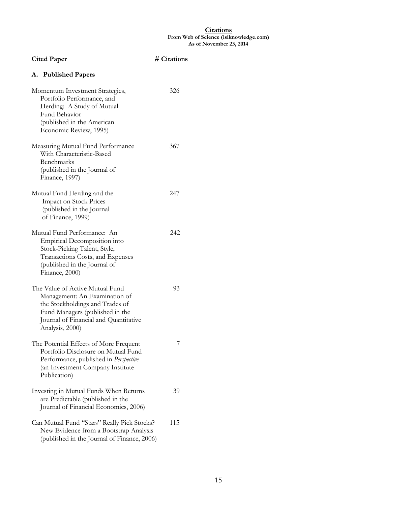#### **Citations From Web of Science (isiknowledge.com) As of November 23, 2014**

| <b>Cited Paper</b>                                                                                                                                                                                 | # Citations |
|----------------------------------------------------------------------------------------------------------------------------------------------------------------------------------------------------|-------------|
| A. Published Papers                                                                                                                                                                                |             |
| Momentum Investment Strategies,<br>Portfolio Performance, and<br>Herding: A Study of Mutual<br>Fund Behavior<br>(published in the American<br>Economic Review, 1995)                               | 326         |
| Measuring Mutual Fund Performance<br>With Characteristic-Based<br>Benchmarks<br>(published in the Journal of<br>Finance, 1997)                                                                     | 367         |
| Mutual Fund Herding and the<br><b>Impact on Stock Prices</b><br>(published in the Journal<br>of Finance, 1999)                                                                                     | 247         |
| Mutual Fund Performance: An<br>Empirical Decomposition into<br>Stock-Picking Talent, Style,<br>Transactions Costs, and Expenses<br>(published in the Journal of<br>Finance, 2000)                  | 242         |
| The Value of Active Mutual Fund<br>Management: An Examination of<br>the Stockholdings and Trades of<br>Fund Managers (published in the<br>Journal of Financial and Quantitative<br>Analysis, 2000) | 93          |
| The Potential Effects of More Frequent<br>Portfolio Disclosure on Mutual Fund<br>Performance, published in Perspective<br>(an Investment Company Institute<br>Publication)                         | 7           |
| Investing in Mutual Funds When Returns<br>are Predictable (published in the<br>Journal of Financial Economics, 2006)                                                                               | 39          |
| Can Mutual Fund "Stars" Really Pick Stocks?<br>New Evidence from a Bootstrap Analysis<br>(published in the Journal of Finance, 2006)                                                               | 115         |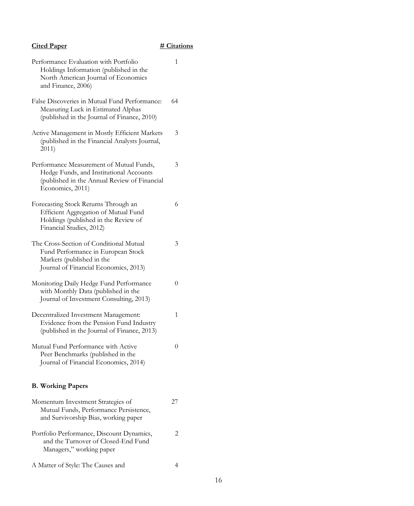# Cited Paper **# Citations**

| Performance Evaluation with Portfolio<br>Holdings Information (published in the<br>North American Journal of Economics<br>and Finance, 2006)            |    |
|---------------------------------------------------------------------------------------------------------------------------------------------------------|----|
| False Discoveries in Mutual Fund Performance:<br>Measuring Luck in Estimated Alphas<br>(published in the Journal of Finance, 2010)                      | 64 |
| Active Management in Mostly Efficient Markets<br>(published in the Financial Analysts Journal,<br>2011)                                                 | 3  |
| Performance Measurement of Mutual Funds,<br>Hedge Funds, and Institutional Accounts<br>(published in the Annual Review of Financial<br>Economics, 2011) | 3  |
| Forecasting Stock Returns Through an<br>Efficient Aggregation of Mutual Fund<br>Holdings (published in the Review of<br>Financial Studies, 2012)        | 6  |
| The Cross-Section of Conditional Mutual<br>Fund Performance in European Stock<br>Markets (published in the<br>Journal of Financial Economics, 2013)     | 3  |
| Monitoring Daily Hedge Fund Performance<br>with Monthly Data (published in the<br>Journal of Investment Consulting, 2013)                               | 0  |
| Decentralized Investment Management:<br>Evidence from the Pension Fund Industry<br>(published in the Journal of Finance, 2013)                          | 1  |
| Mutual Fund Performance with Active<br>Peer Benchmarks (published in the<br>Journal of Financial Economics, 2014)                                       | 0  |
| <b>B. Working Papers</b>                                                                                                                                |    |
| Momentum Investment Strategies of<br>Mutual Funds, Performance Persistence,<br>and Survivorship Bias, working paper                                     | 27 |
| Portfolio Performance, Discount Dynamics,<br>and the Turnover of Closed-End Fund<br>Managers," working paper                                            | 2  |
| A Matter of Style: The Causes and                                                                                                                       | 4  |

16